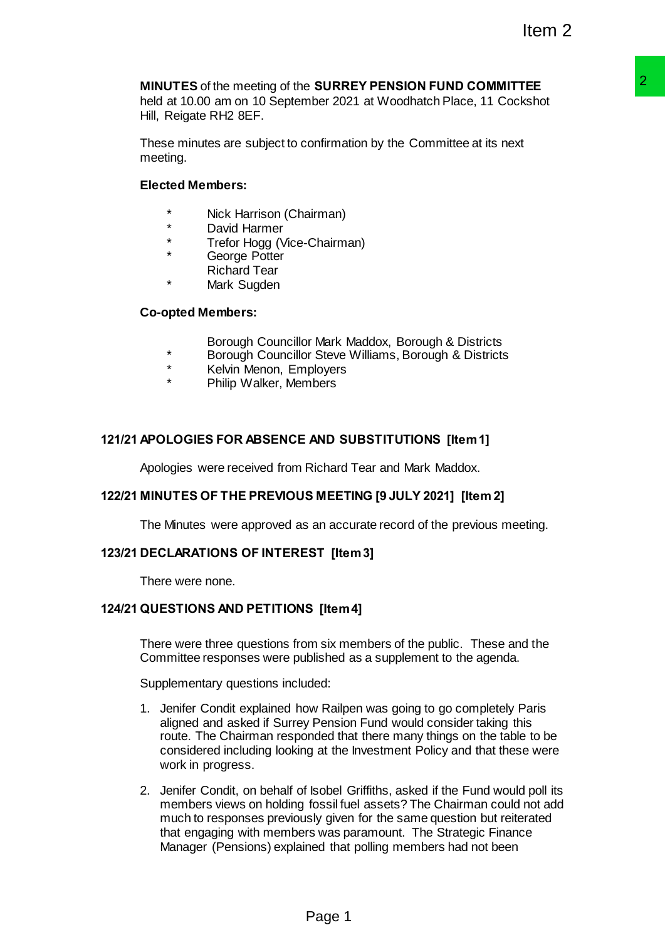# **MINUTES** of the meeting of the **SURREY PENSION FUND COMMITTEE**

held at 10.00 am on 10 September 2021 at Woodhatch Place, 11 Cockshot Hill, Reigate RH2 8EF.

These minutes are subject to confirmation by the Committee at its next meeting.

# **Elected Members:**

- Nick Harrison (Chairman)
- \* David Harmer
- Trefor Hogg (Vice-Chairman)
- George Potter
- Richard Tear
- Mark Sugden

# **Co-opted Members:**

- Borough Councillor Mark Maddox, Borough & Districts
- \* Borough Councillor Steve Williams, Borough & Districts
- Kelvin Menon, Employers
- Philip Walker, Members

# **121/21 APOLOGIES FOR ABSENCE AND SUBSTITUTIONS [Item 1]**

Apologies were received from Richard Tear and Mark Maddox.

# **122/21 MINUTES OF THE PREVIOUS MEETING [9 JULY 2021] [Item 2]**

The Minutes were approved as an accurate record of the previous meeting.

# **123/21 DECLARATIONS OF INTEREST [Item 3]**

There were none.

# **124/21 QUESTIONS AND PETITIONS [Item 4]**

There were three questions from six members of the public. These and the Committee responses were published as a supplement to the agenda.

Supplementary questions included:

- 1. Jenifer Condit explained how Railpen was going to go completely Paris aligned and asked if Surrey Pension Fund would consider taking this route. The Chairman responded that there many things on the table to be considered including looking at the Investment Policy and that these were work in progress.
- 2. Jenifer Condit, on behalf of Isobel Griffiths, asked if the Fund would poll its members views on holding fossil fuel assets? The Chairman could not add much to responses previously given for the same question but reiterated that engaging with members was paramount. The Strategic Finance Manager (Pensions) explained that polling members had not been **SURREY PENSION FUND COMMITTEE**<br>
ther 2021 at Woodhatch Place, 11 Cockshot<br>
confirmation by the Committee at its next<br>
confirmation by the Committee at its next<br>
similarity<br>
Sure Williams, Borough & Districts<br>
Since Willia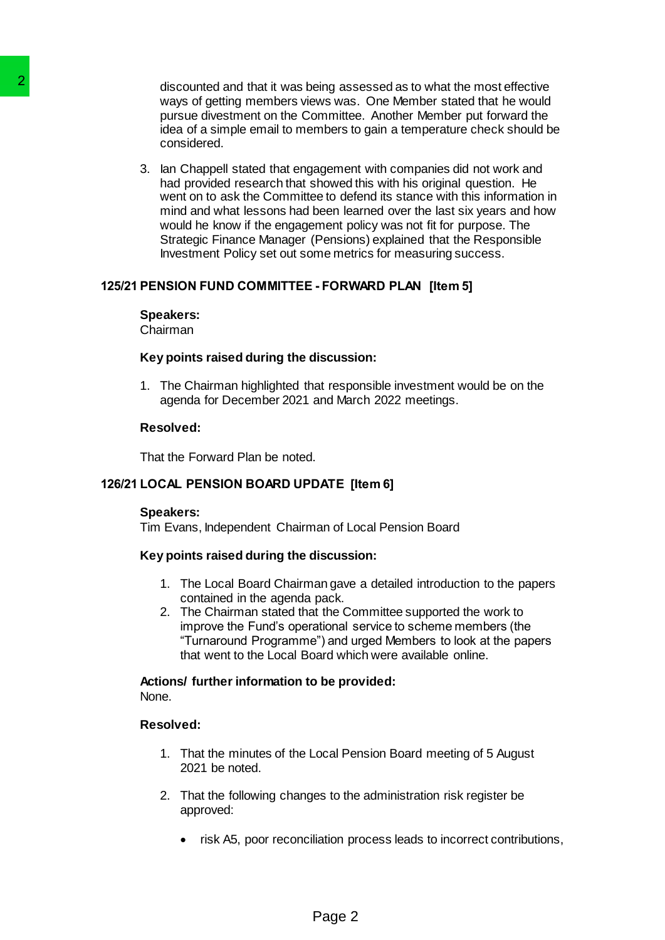discounted and that it was being assessed as to what the most effective ways of getting members views was. One Member stated that he would pursue divestment on the Committee. Another Member put forward the idea of a simple email to members to gain a temperature check should be considered.

3. Ian Chappell stated that engagement with companies did not work and had provided research that showed this with his original question. He went on to ask the Committee to defend its stance with this information in mind and what lessons had been learned over the last six years and how would he know if the engagement policy was not fit for purpose. The Strategic Finance Manager (Pensions) explained that the Responsible Investment Policy set out some metrics for measuring success. 22<br>
discounted and that it was being assembland<br>
ways of getting members views was<br>
pursue divestment on the Committee<br>
considered.<br>
3. Ian Chappell stated that engagement profiles<br>
and provided research that showed went o

# **125/21 PENSION FUND COMMITTEE - FORWARD PLAN [Item 5]**

#### **Speakers:**

Chairman

#### **Key points raised during the discussion:**

1. The Chairman highlighted that responsible investment would be on the agenda for December 2021 and March 2022 meetings.

### **Resolved:**

That the Forward Plan be noted.

### **126/21 LOCAL PENSION BOARD UPDATE [Item 6]**

#### **Speakers:**

Tim Evans, Independent Chairman of Local Pension Board

### **Key points raised during the discussion:**

- 1. The Local Board Chairman gave a detailed introduction to the papers contained in the agenda pack.
- 2. The Chairman stated that the Committee supported the work to improve the Fund's operational service to scheme members (the "Turnaround Programme") and urged Members to look at the papers that went to the Local Board which were available online.

#### **Actions/ further information to be provided:** None.

# **Resolved:**

- 1. That the minutes of the Local Pension Board meeting of 5 August 2021 be noted.
- 2. That the following changes to the administration risk register be approved:
	- risk A5, poor reconciliation process leads to incorrect contributions,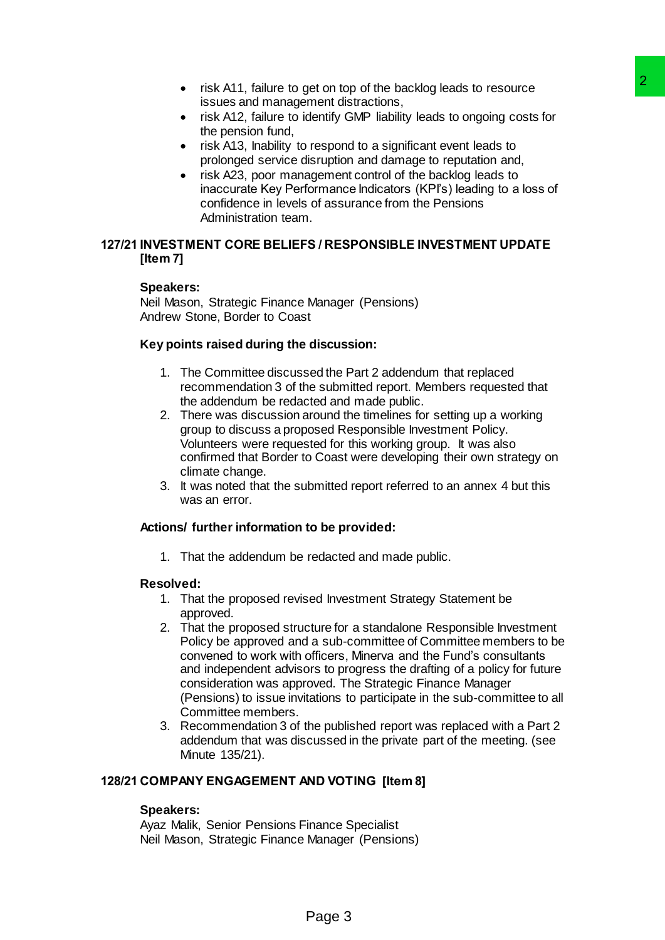- risk A11, failure to get on top of the backlog leads to resource issues and management distractions,
- risk A12, failure to identify GMP liability leads to ongoing costs for the pension fund,
- risk A13, Inability to respond to a significant event leads to prolonged service disruption and damage to reputation and,
- risk A23, poor management control of the backlog leads to inaccurate Key Performance Indicators (KPI's) leading to a loss of confidence in levels of assurance from the Pensions Administration team.

# **127/21 INVESTMENT CORE BELIEFS / RESPONSIBLE INVESTMENT UPDATE [Item 7]**

# **Speakers:**

Neil Mason, Strategic Finance Manager (Pensions) Andrew Stone, Border to Coast

# **Key points raised during the discussion:**

- 1. The Committee discussed the Part 2 addendum that replaced recommendation 3 of the submitted report. Members requested that the addendum be redacted and made public.
- 2. There was discussion around the timelines for setting up a working group to discuss a proposed Responsible Investment Policy. Volunteers were requested for this working group. It was also confirmed that Border to Coast were developing their own strategy on climate change.
- 3. It was noted that the submitted report referred to an annex 4 but this was an error.

# **Actions/ further information to be provided:**

1. That the addendum be redacted and made public.

# **Resolved:**

- 1. That the proposed revised Investment Strategy Statement be approved.
- 2. That the proposed structure for a standalone Responsible Investment Policy be approved and a sub-committee of Committee members to be convened to work with officers, Minerva and the Fund's consultants and independent advisors to progress the drafting of a policy for future consideration was approved. The Strategic Finance Manager (Pensions) to issue invitations to participate in the sub-committee to all Committee members. pet on top of the backlog leads to resource<br>ment distractions,<br>chemify OMP lability leads to ongoing costs for<br>dentify OMP lability leads to ongoing costs for<br>respond to a significant event leads to<br>instruction of distribu
- 3. Recommendation 3 of the published report was replaced with a Part 2 addendum that was discussed in the private part of the meeting. (see Minute 135/21).

# **128/21 COMPANY ENGAGEMENT AND VOTING [Item 8]**

# **Speakers:**

Ayaz Malik, Senior Pensions Finance Specialist Neil Mason, Strategic Finance Manager (Pensions)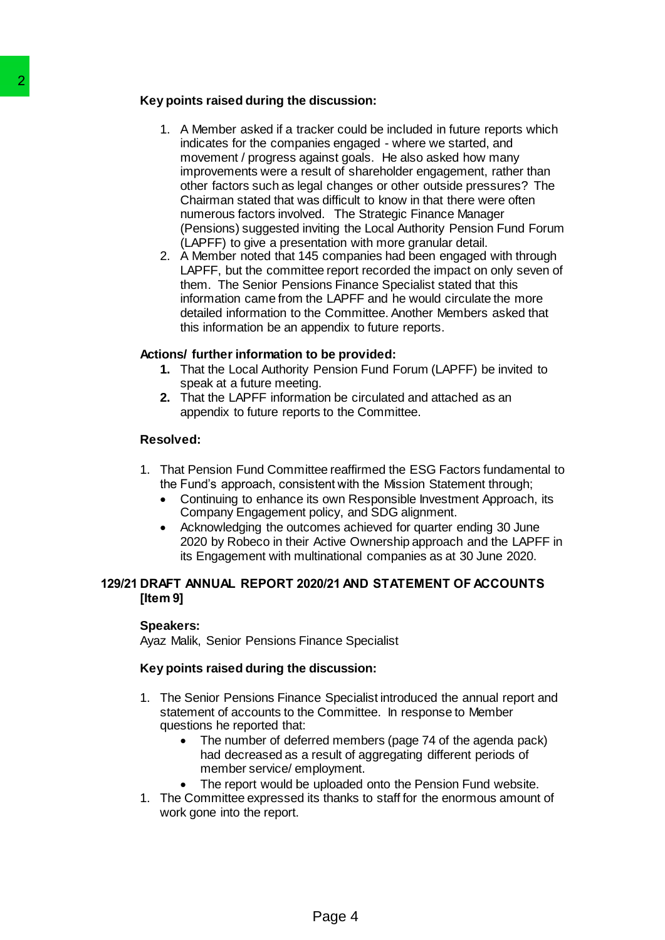# **Key points raised during the discussion:**

- 1. A Member asked if a tracker could be included in future reports which indicates for the companies engaged - where we started, and movement / progress against goals. He also asked how many improvements were a result of shareholder engagement, rather than other factors such as legal changes or other outside pressures? The Chairman stated that was difficult to know in that there were often numerous factors involved. The Strategic Finance Manager (Pensions) suggested inviting the Local Authority Pension Fund Forum (LAPFF) to give a presentation with more granular detail. Xey points raised during the discussi<br>
1. A Member asked if a tracker counted in a tracker of the companies engage in movement / progress against go<br>
incroment of companies are result of significant and the more density of
	- 2. A Member noted that 145 companies had been engaged with through LAPFF, but the committee report recorded the impact on only seven of them. The Senior Pensions Finance Specialist stated that this information came from the LAPFF and he would circulate the more detailed information to the Committee. Another Members asked that this information be an appendix to future reports.

# **Actions/ further information to be provided:**

- **1.** That the Local Authority Pension Fund Forum (LAPFF) be invited to speak at a future meeting.
- **2.** That the LAPFF information be circulated and attached as an appendix to future reports to the Committee.

# **Resolved:**

- 1. That Pension Fund Committee reaffirmed the ESG Factors fundamental to the Fund's approach, consistent with the Mission Statement through;
	- Continuing to enhance its own Responsible Investment Approach, its Company Engagement policy, and SDG alignment.
	- Acknowledging the outcomes achieved for quarter ending 30 June 2020 by Robeco in their Active Ownership approach and the LAPFF in its Engagement with multinational companies as at 30 June 2020.

# **129/21 DRAFT ANNUAL REPORT 2020/21 AND STATEMENT OF ACCOUNTS [Item 9]**

### **Speakers:**

Ayaz Malik, Senior Pensions Finance Specialist

# **Key points raised during the discussion:**

- 1. The Senior Pensions Finance Specialist introduced the annual report and statement of accounts to the Committee. In response to Member questions he reported that:
	- The number of deferred members (page 74 of the agenda pack) had decreased as a result of aggregating different periods of member service/ employment.
		- The report would be uploaded onto the Pension Fund website.
- 1. The Committee expressed its thanks to staff for the enormous amount of work gone into the report.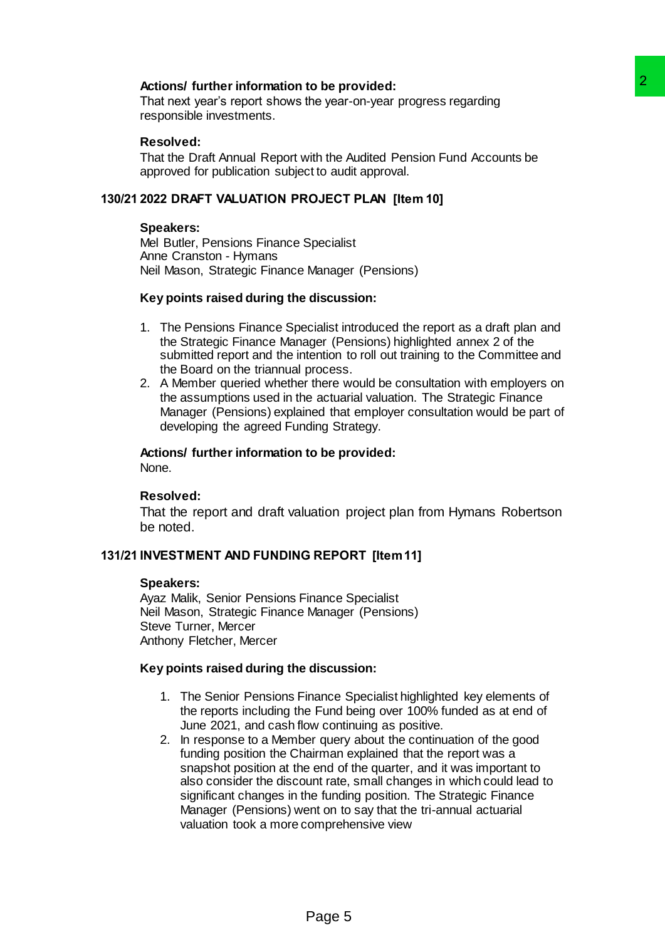# **Actions/ further information to be provided:**

That next year's report shows the year-on-year progress regarding responsible investments.

### **Resolved:**

That the Draft Annual Report with the Audited Pension Fund Accounts be approved for publication subject to audit approval.

### **130/21 2022 DRAFT VALUATION PROJECT PLAN [Item 10]**

#### **Speakers:**

Mel Butler, Pensions Finance Specialist Anne Cranston - Hymans Neil Mason, Strategic Finance Manager (Pensions)

#### **Key points raised during the discussion:**

- 1. The Pensions Finance Specialist introduced the report as a draft plan and the Strategic Finance Manager (Pensions) highlighted annex 2 of the submitted report and the intention to roll out training to the Committee and the Board on the triannual process.
- 2. A Member queried whether there would be consultation with employers on the assumptions used in the actuarial valuation. The Strategic Finance Manager (Pensions) explained that employer consultation would be part of developing the agreed Funding Strategy.

#### **Actions/ further information to be provided:** None.

#### **Resolved:**

That the report and draft valuation project plan from Hymans Robertson be noted.

### **131/21 INVESTMENT AND FUNDING REPORT [Item 11]**

### **Speakers:**

Ayaz Malik, Senior Pensions Finance Specialist Neil Mason, Strategic Finance Manager (Pensions) Steve Turner, Mercer Anthony Fletcher, Mercer

### **Key points raised during the discussion:**

- 1. The Senior Pensions Finance Specialist highlighted key elements of the reports including the Fund being over 100% funded as at end of June 2021, and cash flow continuing as positive.
- 2. In response to a Member query about the continuation of the good funding position the Chairman explained that the report was a snapshot position at the end of the quarter, and it was important to also consider the discount rate, small changes in which could lead to significant changes in the funding position. The Strategic Finance Manager (Pensions) went on to say that the tri-annual actuarial valuation took a more comprehensive view **Example 12**<br>
The year-on-year progress regarding<br>
with the Audited Pension Fund Accounts be<br>
state to audit approval.<br> **Example 12**<br>
Specialist<br>
Manager (Pensions)<br> **discussion:**<br> **discussion:**<br> **discussion:**<br> **discussion**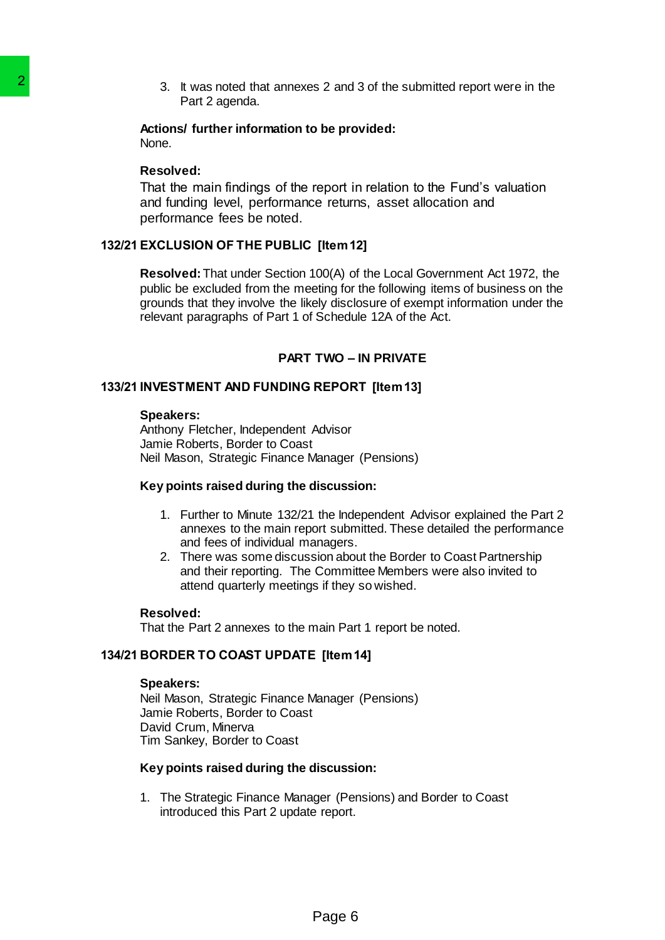3. It was noted that annexes 2 and 3 of the submitted report were in the Part 2 agenda.

**Actions/ further information to be provided:** None.

#### **Resolved:**

That the main findings of the report in relation to the Fund's valuation and funding level, performance returns, asset allocation and performance fees be noted.

### **132/21 EXCLUSION OF THE PUBLIC [Item 12]**

**Resolved:**That under Section 100(A) of the Local Government Act 1972, the public be excluded from the meeting for the following items of business on the grounds that they involve the likely disclosure of exempt information under the relevant paragraphs of Part 1 of Schedule 12A of the Act. 3. It was noted that annexes 2 and<br>
Actions' further information to be pro<br>
Actions' further information to be pro<br>
None.<br>
Resolved: That the main findings of the report in<br>
2011 EXCLUSION OF THE PUBLIC [Item 1:<br>
13221 EXC

### **PART TWO – IN PRIVATE**

### **133/21 INVESTMENT AND FUNDING REPORT [Item 13]**

### **Speakers:**

Anthony Fletcher, Independent Advisor Jamie Roberts, Border to Coast Neil Mason, Strategic Finance Manager (Pensions)

### **Key points raised during the discussion:**

- 1. Further to Minute 132/21 the Independent Advisor explained the Part 2 annexes to the main report submitted. These detailed the performance and fees of individual managers.
- 2. There was some discussion about the Border to Coast Partnership and their reporting. The Committee Members were also invited to attend quarterly meetings if they so wished.

#### **Resolved:**

That the Part 2 annexes to the main Part 1 report be noted.

### **134/21 BORDER TO COAST UPDATE [Item 14]**

#### **Speakers:**

Neil Mason, Strategic Finance Manager (Pensions) Jamie Roberts, Border to Coast David Crum, Minerva Tim Sankey, Border to Coast

### **Key points raised during the discussion:**

1. The Strategic Finance Manager (Pensions) and Border to Coast introduced this Part 2 update report.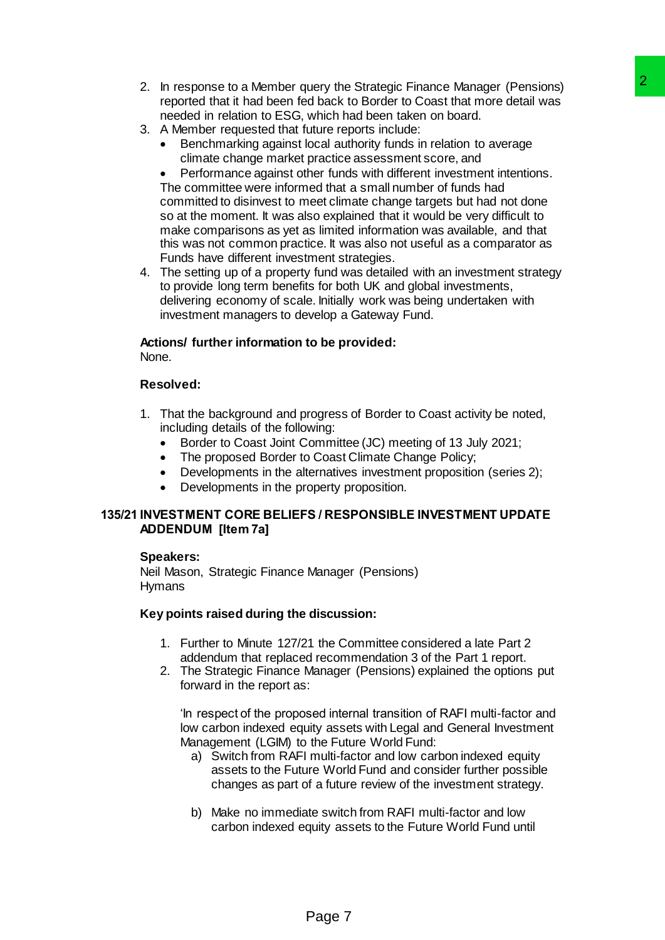- 2. In response to a Member query the Strategic Finance Manager (Pensions) reported that it had been fed back to Border to Coast that more detail was needed in relation to ESG, which had been taken on board.
- 3. A Member requested that future reports include:
	- Benchmarking against local authority funds in relation to average climate change market practice assessment score, and

 Performance against other funds with different investment intentions. The committee were informed that a small number of funds had committed to disinvest to meet climate change targets but had not done so at the moment. It was also explained that it would be very difficult to make comparisons as yet as limited information was available, and that this was not common practice. It was also not useful as a comparator as Funds have different investment strategies. uery the Strategic Finance Manager (Pensions)<br>
valida Kk to Border to Coast that more detail was<br>
which had basek to Border to Coast that more detail was<br>
which had base falsen taken on board.<br>
Internet furns with differen

4. The setting up of a property fund was detailed with an investment strategy to provide long term benefits for both UK and global investments, delivering economy of scale. Initially work was being undertaken with investment managers to develop a Gateway Fund.

# **Actions/ further information to be provided:** None.

# **Resolved:**

- 1. That the background and progress of Border to Coast activity be noted, including details of the following:
	- Border to Coast Joint Committee (JC) meeting of 13 July 2021;
	- The proposed Border to Coast Climate Change Policy;
	- Developments in the alternatives investment proposition (series 2);
	- Developments in the property proposition.

# **135/21 INVESTMENT CORE BELIEFS / RESPONSIBLE INVESTMENT UPDATE ADDENDUM [Item 7a]**

# **Speakers:**

Neil Mason, Strategic Finance Manager (Pensions) Hymans

# **Key points raised during the discussion:**

- 1. Further to Minute 127/21 the Committee considered a late Part 2 addendum that replaced recommendation 3 of the Part 1 report.
- 2. The Strategic Finance Manager (Pensions) explained the options put forward in the report as:

'In respect of the proposed internal transition of RAFI multi-factor and low carbon indexed equity assets with Legal and General Investment Management (LGIM) to the Future World Fund:

- a) Switch from RAFI multi-factor and low carbon indexed equity assets to the Future World Fund and consider further possible changes as part of a future review of the investment strategy.
- b) Make no immediate switch from RAFI multi-factor and low carbon indexed equity assets to the Future World Fund until